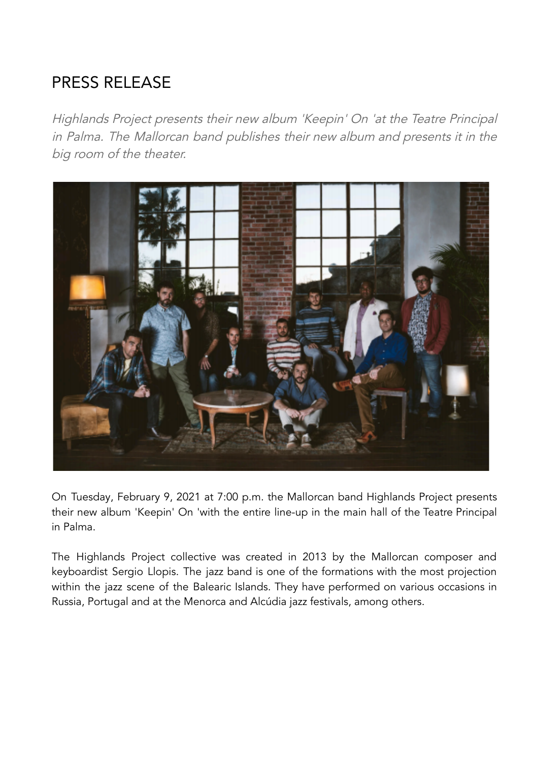## PRESS RELEASE

Highlands Project presents their new album 'Keepin' On 'at the Teatre Principal in Palma. The Mallorcan band publishes their new album and presents it in the big room of the theater.



On Tuesday, February 9, 2021 at 7:00 p.m. the Mallorcan band Highlands Project presents their new album 'Keepin' On 'with the entire line-up in the main hall of the Teatre Principal in Palma.

The Highlands Project collective was created in 2013 by the Mallorcan composer and keyboardist Sergio Llopis. The jazz band is one of the formations with the most projection within the jazz scene of the Balearic Islands. They have performed on various occasions in Russia, Portugal and at the Menorca and Alcúdia jazz festivals, among others.